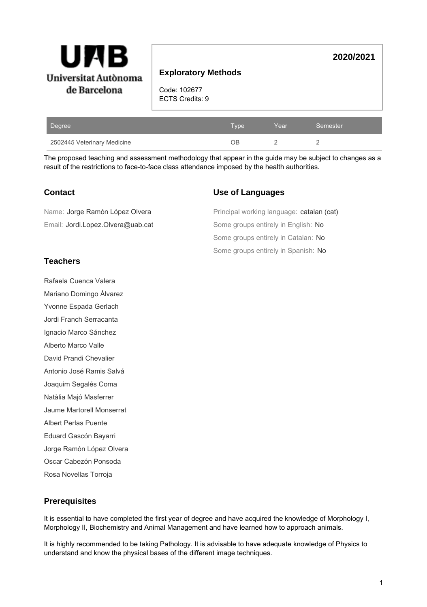

# **Exploratory Methods**

Code: 102677 ECTS Credits: 9

| Degree                      | <b>Type</b> | Year | Semester |
|-----------------------------|-------------|------|----------|
| 2502445 Veterinary Medicine | DВ          |      |          |

The proposed teaching and assessment methodology that appear in the guide may be subject to changes as a result of the restrictions to face-to-face class attendance imposed by the health authorities.

## **Contact**

| Name: Jorge Ramón López Olvera    | Principal working language: catalan ( |
|-----------------------------------|---------------------------------------|
| Email: Jordi.Lopez.Olvera@uab.cat | Some groups entirely in English: No   |
|                                   | Some groups entirely in Catalan: No   |

# **Teachers**

Rafaela Cuenca Valera Mariano Domingo Álvarez Yvonne Espada Gerlach Jordi Franch Serracanta Ignacio Marco Sánchez Alberto Marco Valle David Prandi Chevalier Antonio José Ramis Salvá Joaquim Segalés Coma Natàlia Majó Masferrer Jaume Martorell Monserrat Albert Perlas Puente Eduard Gascón Bayarri Jorge Ramón López Olvera Oscar Cabezón Ponsoda Rosa Novellas Torroja

# **Use of Languages**

Some groups entirely in Spanish: No Principal working language: catalan (cat)

**2020/2021**

# **Prerequisites**

It is essential to have completed the first year of degree and have acquired the knowledge of Morphology I, Morphology II, Biochemistry and Animal Management and have learned how to approach animals.

It is highly recommended to be taking Pathology. It is advisable to have adequate knowledge of Physics to understand and know the physical bases of the different image techniques.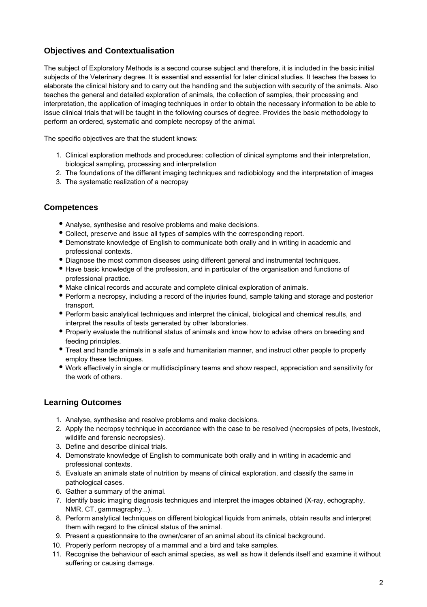# **Objectives and Contextualisation**

The subject of Exploratory Methods is a second course subject and therefore, it is included in the basic initial subjects of the Veterinary degree. It is essential and essential for later clinical studies. It teaches the bases to elaborate the clinical history and to carry out the handling and the subjection with security of the animals. Also teaches the general and detailed exploration of animals, the collection of samples, their processing and interpretation, the application of imaging techniques in order to obtain the necessary information to be able to issue clinical trials that will be taught in the following courses of degree. Provides the basic methodology to perform an ordered, systematic and complete necropsy of the animal.

The specific objectives are that the student knows:

- 1. Clinical exploration methods and procedures: collection of clinical symptoms and their interpretation, biological sampling, processing and interpretation
- 2. The foundations of the different imaging techniques and radiobiology and the interpretation of images
- 3. The systematic realization of a necropsy

## **Competences**

- Analyse, synthesise and resolve problems and make decisions.
- Collect, preserve and issue all types of samples with the corresponding report.
- Demonstrate knowledge of English to communicate both orally and in writing in academic and professional contexts.
- Diagnose the most common diseases using different general and instrumental techniques.
- Have basic knowledge of the profession, and in particular of the organisation and functions of professional practice.
- Make clinical records and accurate and complete clinical exploration of animals.
- Perform a necropsy, including a record of the injuries found, sample taking and storage and posterior transport.
- Perform basic analytical techniques and interpret the clinical, biological and chemical results, and interpret the results of tests generated by other laboratories.
- Properly evaluate the nutritional status of animals and know how to advise others on breeding and feeding principles.
- Treat and handle animals in a safe and humanitarian manner, and instruct other people to properly employ these techniques.
- Work effectively in single or multidisciplinary teams and show respect, appreciation and sensitivity for the work of others.

## **Learning Outcomes**

- 1. Analyse, synthesise and resolve problems and make decisions.
- 2. Apply the necropsy technique in accordance with the case to be resolved (necropsies of pets, livestock, wildlife and forensic necropsies).
- 3. Define and describe clinical trials.
- 4. Demonstrate knowledge of English to communicate both orally and in writing in academic and professional contexts.
- 5. Evaluate an animals state of nutrition by means of clinical exploration, and classify the same in pathological cases.
- 6. Gather a summary of the animal.
- 7. Identify basic imaging diagnosis techniques and interpret the images obtained (X-ray, echography, NMR, CT, gammagraphy...).
- 8. Perform analytical techniques on different biological liquids from animals, obtain results and interpret them with regard to the clinical status of the animal.
- 9. Present a questionnaire to the owner/carer of an animal about its clinical background.
- 10. Properly perform necropsy of a mammal and a bird and take samples.
- 11. Recognise the behaviour of each animal species, as well as how it defends itself and examine it without suffering or causing damage.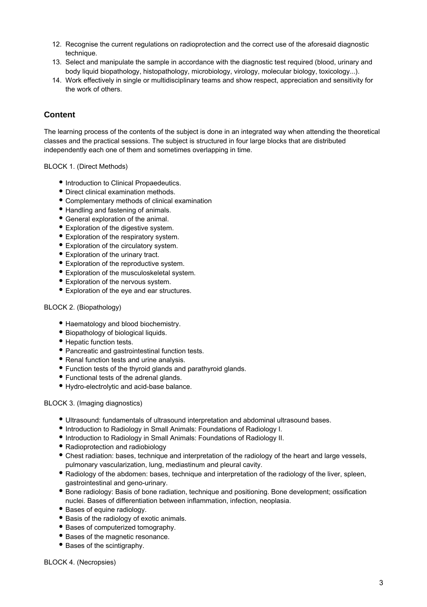- 12. Recognise the current regulations on radioprotection and the correct use of the aforesaid diagnostic technique.
- 13. Select and manipulate the sample in accordance with the diagnostic test required (blood, urinary and body liquid biopathology, histopathology, microbiology, virology, molecular biology, toxicology...).
- 14. Work effectively in single or multidisciplinary teams and show respect, appreciation and sensitivity for the work of others.

# **Content**

The learning process of the contents of the subject is done in an integrated way when attending the theoretical classes and the practical sessions. The subject is structured in four large blocks that are distributed independently each one of them and sometimes overlapping in time.

## BLOCK 1. (Direct Methods)

- $\bullet$  Introduction to Clinical Propaedeutics.
- Direct clinical examination methods.
- Complementary methods of clinical examination
- Handling and fastening of animals.
- General exploration of the animal.
- Exploration of the digestive system.
- Exploration of the respiratory system.
- Exploration of the circulatory system.
- Exploration of the urinary tract.
- Exploration of the reproductive system.
- Exploration of the musculoskeletal system.
- Exploration of the nervous system.
- Exploration of the eye and ear structures.

#### BLOCK 2. (Biopathology)

- Haematology and blood biochemistry.
- Biopathology of biological liquids.
- Hepatic function tests.
- Pancreatic and gastrointestinal function tests.
- Renal function tests and urine analysis.
- Function tests of the thyroid glands and parathyroid glands.
- Functional tests of the adrenal glands.
- Hydro-electrolytic and acid-base balance.

#### BLOCK 3. (Imaging diagnostics)

- Ultrasound: fundamentals of ultrasound interpretation and abdominal ultrasound bases.
- Introduction to Radiology in Small Animals: Foundations of Radiology I.
- Introduction to Radiology in Small Animals: Foundations of Radiology II.
- Radioprotection and radiobiology
- Chest radiation: bases, technique and interpretation of the radiology of the heart and large vessels, pulmonary vascularization, lung, mediastinum and pleural cavity.
- Radiology of the abdomen: bases, technique and interpretation of the radiology of the liver, spleen, gastrointestinal and geno-urinary.
- Bone radiology: Basis of bone radiation, technique and positioning. Bone development; ossification nuclei. Bases of differentiation between inflammation, infection, neoplasia.
- Bases of equine radiology.
- Basis of the radiology of exotic animals.
- Bases of computerized tomography.
- Bases of the magnetic resonance.
- Bases of the scintigraphy.

BLOCK 4. (Necropsies)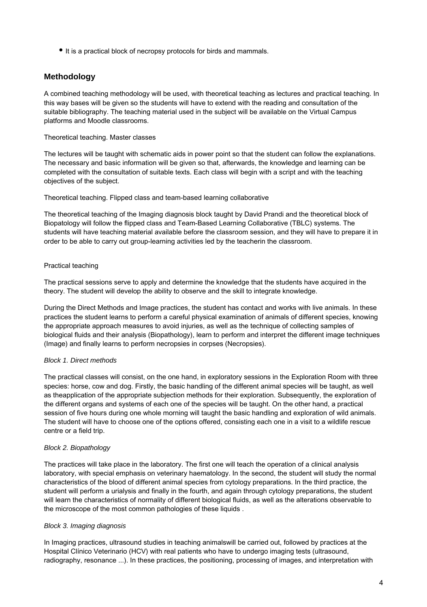$\bullet$  It is a practical block of necropsy protocols for birds and mammals.

# **Methodology**

A combined teaching methodology will be used, with theoretical teaching as lectures and practical teaching. In this way bases will be given so the students will have to extend with the reading and consultation of the suitable bibliography. The teaching material used in the subject will be available on the Virtual Campus platforms and Moodle classrooms.

Theoretical teaching. Master classes

The lectures will be taught with schematic aids in power point so that the student can follow the explanations. The necessary and basic information will be given so that, afterwards, the knowledge and learning can be completed with the consultation of suitable texts. Each class will begin with a script and with the teaching objectives of the subject.

Theoretical teaching. Flipped class and team-based learning collaborative

The theoretical teaching of the Imaging diagnosis block taught by David Prandi and the theoretical block of Biopatology will follow the flipped class and Team-Based Learning Collaborative (TBLC) systems. The students will have teaching material available before the classroom session, and they will have to prepare it in order to be able to carry out group-learning activities led by the teacherin the classroom.

## Practical teaching

The practical sessions serve to apply and determine the knowledge that the students have acquired in the theory. The student will develop the ability to observe and the skill to integrate knowledge.

During the Direct Methods and Image practices, the student has contact and works with live animals. In these practices the student learns to perform a careful physical examination of animals of different species, knowing the appropriate approach measures to avoid injuries, as well as the technique of collecting samples of biological fluids and their analysis (Biopathology), learn to perform and interpret the different image techniques (Image) and finally learns to perform necropsies in corpses (Necropsies).

## Block 1. Direct methods

The practical classes will consist, on the one hand, in exploratory sessions in the Exploration Room with three species: horse, cow and dog. Firstly, the basic handling of the different animal species will be taught, as well as theapplication of the appropriate subjection methods for their exploration. Subsequently, the exploration of the different organs and systems of each one of the species will be taught. On the other hand, a practical session of five hours during one whole morning will taught the basic handling and exploration of wild animals. The student will have to choose one of the options offered, consisting each one in a visit to a wildlife rescue centre or a field trip.

## Block 2. Biopathology

The practices will take place in the laboratory. The first one will teach the operation of a clinical analysis laboratory, with special emphasis on veterinary haematology. In the second, the student will study the normal characteristics of the blood of different animal species from cytology preparations. In the third practice, the student will perform a urialysis and finally in the fourth, and again through cytology preparations, the student will learn the characteristics of normality of different biological fluids, as well as the alterations observable to the microscope of the most common pathologies of these liquids .

## Block 3. Imaging diagnosis

In Imaging practices, ultrasound studies in teaching animalswill be carried out, followed by practices at the Hospital Clínico Veterinario (HCV) with real patients who have to undergo imaging tests (ultrasound, radiography, resonance ...). In these practices, the positioning, processing of images, and interpretation with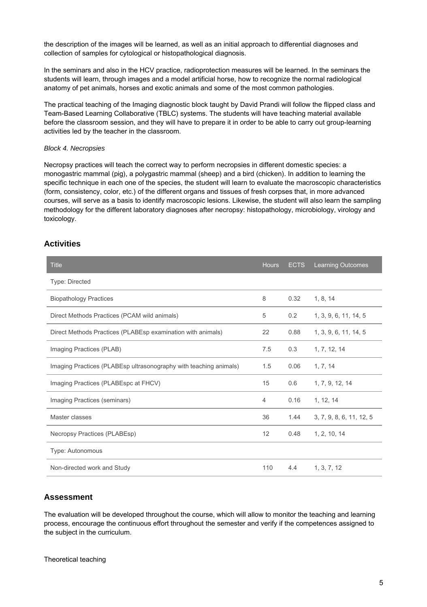the description of the images will be learned, as well as an initial approach to differential diagnoses and collection of samples for cytological or histopathological diagnosis.

In the seminars and also in the HCV practice, radioprotection measures will be learned. In the seminars the students will learn, through images and a model artificial horse, how to recognize the normal radiological anatomy of pet animals, horses and exotic animals and some of the most common pathologies.

The practical teaching of the Imaging diagnostic block taught by David Prandi will follow the flipped class and Team-Based Learning Collaborative (TBLC) systems. The students will have teaching material available before the classroom session, and they will have to prepare it in order to be able to carry out group-learning activities led by the teacher in the classroom.

#### Block 4. Necropsies

Necropsy practices will teach the correct way to perform necropsies in different domestic species: a monogastric mammal (pig), a polygastric mammal (sheep) and a bird (chicken). In addition to learning the specific technique in each one of the species, the student will learn to evaluate the macroscopic characteristics (form, consistency, color, etc.) of the different organs and tissues of fresh corpses that, in more advanced courses, will serve as a basis to identify macroscopic lesions. Likewise, the student will also learn the sampling methodology for the different laboratory diagnoses after necropsy: histopathology, microbiology, virology and toxicology.

## **Activities**

| <b>Title</b>                                                      | <b>Hours</b>   | <b>ECTS</b> | <b>Learning Outcomes</b> |
|-------------------------------------------------------------------|----------------|-------------|--------------------------|
| <b>Type: Directed</b>                                             |                |             |                          |
| <b>Biopathology Practices</b>                                     | 8              | 0.32        | 1, 8, 14                 |
| Direct Methods Practices (PCAM wild animals)                      | 5              | 0.2         | 1, 3, 9, 6, 11, 14, 5    |
| Direct Methods Practices (PLABEsp examination with animals)       | 22             | 0.88        | 1, 3, 9, 6, 11, 14, 5    |
| Imaging Practices (PLAB)                                          | 7.5            | 0.3         | 1, 7, 12, 14             |
| Imaging Practices (PLABEsp ultrasonography with teaching animals) | 1.5            | 0.06        | 1, 7, 14                 |
| Imaging Practices (PLABEspc at FHCV)                              | 15             | 0.6         | 1, 7, 9, 12, 14          |
| Imaging Practices (seminars)                                      | $\overline{4}$ | 0.16        | 1, 12, 14                |
| Master classes                                                    | 36             | 1.44        | 3, 7, 9, 8, 6, 11, 12, 5 |
| Necropsy Practices (PLABEsp)                                      | 12             | 0.48        | 1, 2, 10, 14             |
| Type: Autonomous                                                  |                |             |                          |
| Non-directed work and Study                                       | 110            | 4.4         | 1, 3, 7, 12              |

## **Assessment**

The evaluation will be developed throughout the course, which will allow to monitor the teaching and learning process, encourage the continuous effort throughout the semester and verify if the competences assigned to the subject in the curriculum.

Theoretical teaching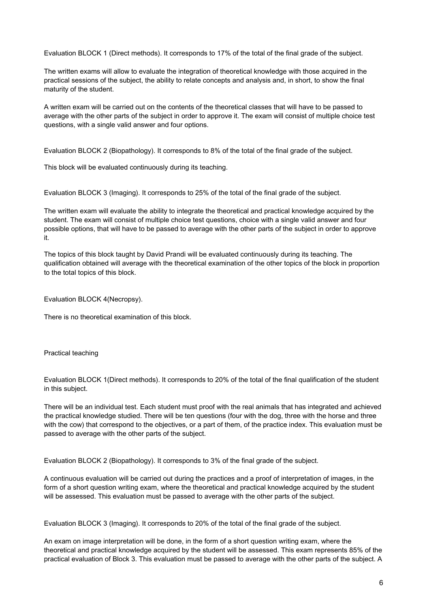Evaluation BLOCK 1 (Direct methods). It corresponds to 17% of the total of the final grade of the subject.

The written exams will allow to evaluate the integration of theoretical knowledge with those acquired in the practical sessions of the subject, the ability to relate concepts and analysis and, in short, to show the final maturity of the student.

A written exam will be carried out on the contents of the theoretical classes that will have to be passed to average with the other parts of the subject in order to approve it. The exam will consist of multiple choice test questions, with a single valid answer and four options.

Evaluation BLOCK 2 (Biopathology). It corresponds to 8% of the total of the final grade of the subject.

This block will be evaluated continuously during its teaching.

Evaluation BLOCK 3 (Imaging). It corresponds to 25% of the total of the final grade of the subject.

The written exam will evaluate the ability to integrate the theoretical and practical knowledge acquired by the student. The exam will consist of multiple choice test questions, choice with a single valid answer and four possible options, that will have to be passed to average with the other parts of the subject in order to approve it.

The topics of this block taught by David Prandi will be evaluated continuously during its teaching. The qualification obtained will average with the theoretical examination of the other topics of the block in proportion to the total topics of this block.

Evaluation BLOCK 4(Necropsy).

There is no theoretical examination of this block.

#### Practical teaching

Evaluation BLOCK 1(Direct methods). It corresponds to 20% of the total of the final qualification of the student in this subject.

There will be an individual test. Each student must proof with the real animals that has integrated and achieved the practical knowledge studied. There will be ten questions (four with the dog, three with the horse and three with the cow) that correspond to the objectives, or a part of them, of the practice index. This evaluation must be passed to average with the other parts of the subject.

Evaluation BLOCK 2 (Biopathology). It corresponds to 3% of the final grade of the subject.

A continuous evaluation will be carried out during the practices and a proof of interpretation of images, in the form of a short question writing exam, where the theoretical and practical knowledge acquired by the student will be assessed. This evaluation must be passed to average with the other parts of the subject.

Evaluation BLOCK 3 (Imaging). It corresponds to 20% of the total of the final grade of the subject.

An exam on image interpretation will be done, in the form of a short question writing exam, where the theoretical and practical knowledge acquired by the student will be assessed. This exam represents 85% of the practical evaluation of Block 3. This evaluation must be passed to average with the other parts of the subject. A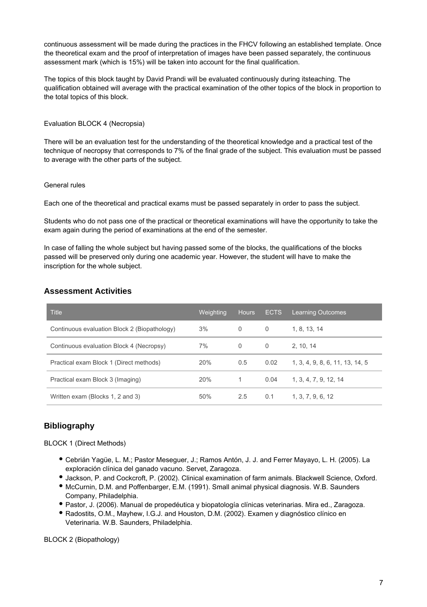continuous assessment will be made during the practices in the FHCV following an established template. Once the theoretical exam and the proof of interpretation of images have been passed separately, the continuous assessment mark (which is 15%) will be taken into account for the final qualification.

The topics of this block taught by David Prandi will be evaluated continuously during itsteaching. The qualification obtained will average with the practical examination of the other topics of the block in proportion to the total topics of this block.

### Evaluation BLOCK 4 (Necropsia)

There will be an evaluation test for the understanding of the theoretical knowledge and a practical test of the technique of necropsy that corresponds to 7% of the final grade of the subject. This evaluation must be passed to average with the other parts of the subject.

#### General rules

Each one of the theoretical and practical exams must be passed separately in order to pass the subject.

Students who do not pass one of the practical or theoretical examinations will have the opportunity to take the exam again during the period of examinations at the end of the semester.

In case of falling the whole subject but having passed some of the blocks, the qualifications of the blocks passed will be preserved only during one academic year. However, the student will have to make the inscription for the whole subject.

# **Assessment Activities**

| <b>Title</b>                                 | Weighting | <b>Hours</b> | <b>ECTS</b> | <b>Learning Outcomes</b>        |
|----------------------------------------------|-----------|--------------|-------------|---------------------------------|
| Continuous evaluation Block 2 (Biopathology) | 3%        | 0            | 0           | 1, 8, 13, 14                    |
| Continuous evaluation Block 4 (Necropsy)     | 7%        | 0            | 0           | 2.10.14                         |
| Practical exam Block 1 (Direct methods)      | 20%       | 0.5          | 0.02        | 1, 3, 4, 9, 8, 6, 11, 13, 14, 5 |
| Practical exam Block 3 (Imaging)             | 20%       |              | 0.04        | 1, 3, 4, 7, 9, 12, 14           |
| Written exam (Blocks 1, 2 and 3)             | 50%       | 2.5          | 0.1         | 1, 3, 7, 9, 6, 12               |

# **Bibliography**

BLOCK 1 (Direct Methods)

- Cebrián Yagüe, L. M.; Pastor Meseguer, J.; Ramos Antón, J. J. and Ferrer Mayayo, L. H. (2005). La exploración clínica del ganado vacuno. Servet, Zaragoza.
- Jackson, P. and Cockcroft, P. (2002). Clinical examination of farm animals. Blackwell Science, Oxford.
- McCurnin, D.M. and Poffenbarger, E.M. (1991). Small animal physical diagnosis. W.B. Saunders Company, Philadelphia.
- Pastor, J. (2006). Manual de propedéutica y biopatología clínicas veterinarias. Mira ed., Zaragoza.
- Radostits, O.M., Mayhew, I.G.J. and Houston, D.M. (2002). Examen y diagnóstico clínico en Veterinaria. W.B. Saunders, Philadelphia.

BLOCK 2 (Biopathology)